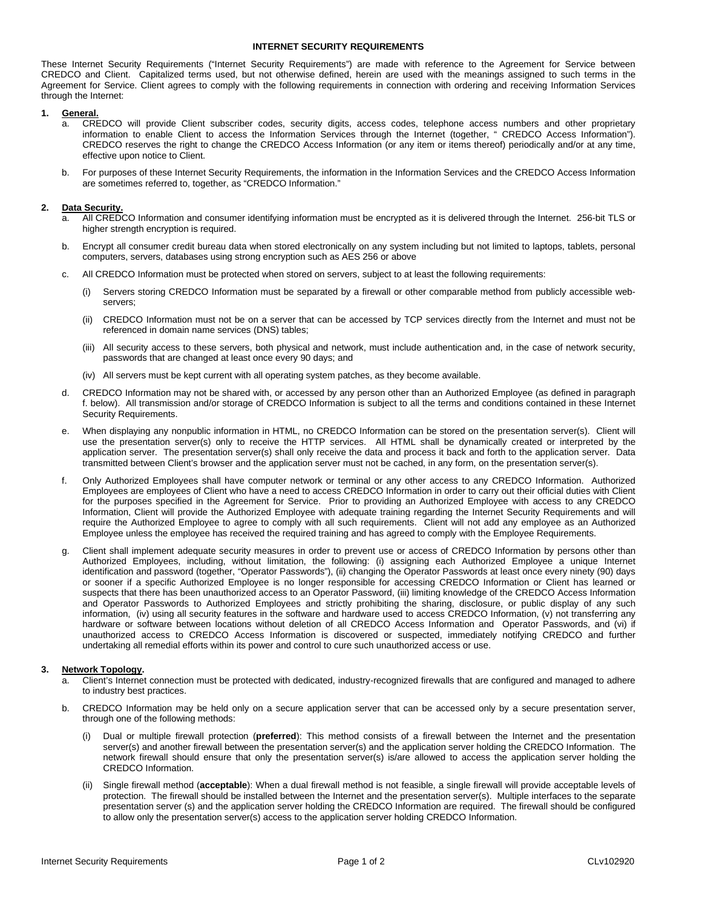## **INTERNET SECURITY REQUIREMENTS**

These Internet Security Requirements ("Internet Security Requirements") are made with reference to the Agreement for Service between CREDCO and Client. Capitalized terms used, but not otherwise defined, herein are used with the meanings assigned to such terms in the Agreement for Service. Client agrees to comply with the following requirements in connection with ordering and receiving Information Services through the Internet:

# **1. General.**

- CREDCO will provide Client subscriber codes, security digits, access codes, telephone access numbers and other proprietary information to enable Client to access the Information Services through the Internet (together, " CREDCO Access Information"). CREDCO reserves the right to change the CREDCO Access Information (or any item or items thereof) periodically and/or at any time, effective upon notice to Client.
- b. For purposes of these Internet Security Requirements, the information in the Information Services and the CREDCO Access Information are sometimes referred to, together, as "CREDCO Information."

## **2. Data Security.**

- All CREDCO Information and consumer identifying information must be encrypted as it is delivered through the Internet. 256-bit TLS or higher strength encryption is required.
- b. Encrypt all consumer credit bureau data when stored electronically on any system including but not limited to laptops, tablets, personal computers, servers, databases using strong encryption such as AES 256 or above
- c. All CREDCO Information must be protected when stored on servers, subject to at least the following requirements:
	- (i) Servers storing CREDCO Information must be separated by a firewall or other comparable method from publicly accessible webservers;
	- (ii) CREDCO Information must not be on a server that can be accessed by TCP services directly from the Internet and must not be referenced in domain name services (DNS) tables;
	- (iii) All security access to these servers, both physical and network, must include authentication and, in the case of network security, passwords that are changed at least once every 90 days; and
	- (iv) All servers must be kept current with all operating system patches, as they become available.
- d. CREDCO Information may not be shared with, or accessed by any person other than an Authorized Employee (as defined in paragraph f. below). All transmission and/or storage of CREDCO Information is subject to all the terms and conditions contained in these Internet Security Requirements.
- e. When displaying any nonpublic information in HTML, no CREDCO Information can be stored on the presentation server(s). Client will use the presentation server(s) only to receive the HTTP services. All HTML shall be dynamically created or interpreted by the application server. The presentation server(s) shall only receive the data and process it back and forth to the application server. Data transmitted between Client's browser and the application server must not be cached, in any form, on the presentation server(s).
- f. Only Authorized Employees shall have computer network or terminal or any other access to any CREDCO Information. Authorized Employees are employees of Client who have a need to access CREDCO Information in order to carry out their official duties with Client for the purposes specified in the Agreement for Service. Prior to providing an Authorized Employee with access to any CREDCO Information, Client will provide the Authorized Employee with adequate training regarding the Internet Security Requirements and will require the Authorized Employee to agree to comply with all such requirements. Client will not add any employee as an Authorized Employee unless the employee has received the required training and has agreed to comply with the Employee Requirements.
- g. Client shall implement adequate security measures in order to prevent use or access of CREDCO Information by persons other than Authorized Employees, including, without limitation, the following: (i) assigning each Authorized Employee a unique Internet identification and password (together, "Operator Passwords"), (ii) changing the Operator Passwords at least once every ninety (90) days or sooner if a specific Authorized Employee is no longer responsible for accessing CREDCO Information or Client has learned or suspects that there has been unauthorized access to an Operator Password, (iii) limiting knowledge of the CREDCO Access Information and Operator Passwords to Authorized Employees and strictly prohibiting the sharing, disclosure, or public display of any such information, (iv) using all security features in the software and hardware used to access CREDCO Information, (v) not transferring any hardware or software between locations without deletion of all CREDCO Access Information and Operator Passwords, and (vi) if unauthorized access to CREDCO Access Information is discovered or suspected, immediately notifying CREDCO and further undertaking all remedial efforts within its power and control to cure such unauthorized access or use.

# **3. Network Topology.**

- a. Client's Internet connection must be protected with dedicated, industry-recognized firewalls that are configured and managed to adhere to industry best practices.
- b. CREDCO Information may be held only on a secure application server that can be accessed only by a secure presentation server, through one of the following methods:
	- (i) Dual or multiple firewall protection (**preferred**): This method consists of a firewall between the Internet and the presentation server(s) and another firewall between the presentation server(s) and the application server holding the CREDCO Information. The network firewall should ensure that only the presentation server(s) is/are allowed to access the application server holding the CREDCO Information.
	- (ii) Single firewall method (**acceptable**): When a dual firewall method is not feasible, a single firewall will provide acceptable levels of protection. The firewall should be installed between the Internet and the presentation server(s). Multiple interfaces to the separate presentation server (s) and the application server holding the CREDCO Information are required. The firewall should be configured to allow only the presentation server(s) access to the application server holding CREDCO Information.